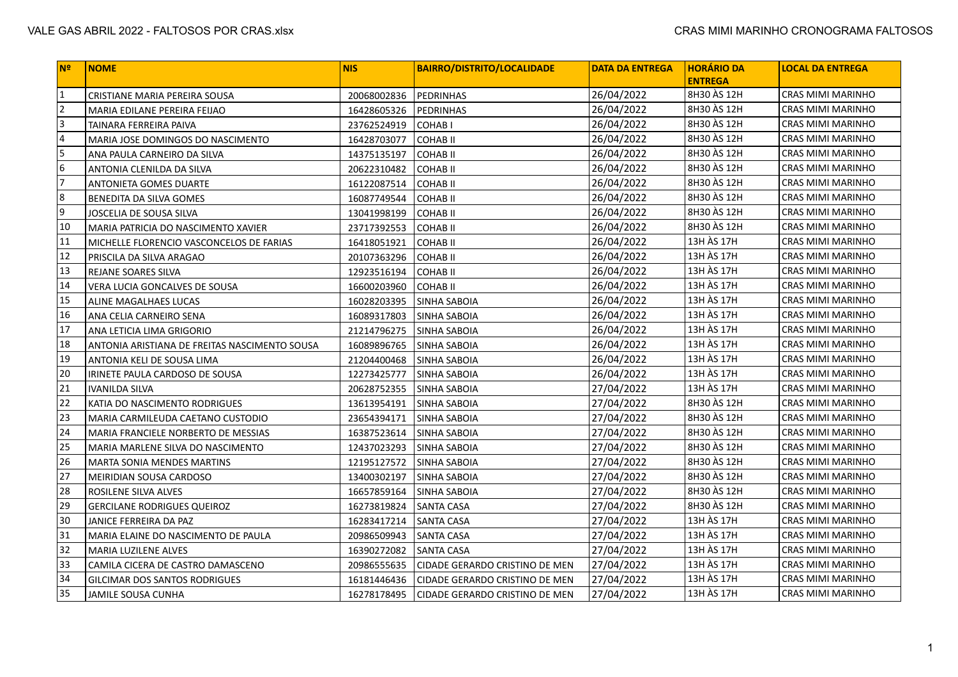| N <sup>o</sup> | <b>NOME</b>                                   | <b>NIS</b>  | <b>BAIRRO/DISTRITO/LOCALIDADE</b> | <b>DATA DA ENTREGA</b> | <b>HORÁRIO DA</b><br><b>ENTREGA</b> | <b>LOCAL DA ENTREGA</b> |
|----------------|-----------------------------------------------|-------------|-----------------------------------|------------------------|-------------------------------------|-------------------------|
| $\vert$ 1      | CRISTIANE MARIA PEREIRA SOUSA                 | 20068002836 | PEDRINHAS                         | 26/04/2022             | <b>8H30 ÀS 12H</b>                  | CRAS MIMI MARINHO       |
| $\vert$ 2      | MARIA EDILANE PEREIRA FEIJAO                  | 16428605326 | PEDRINHAS                         | 26/04/2022             | 8H30 ÀS 12H                         | CRAS MIMI MARINHO       |
| 3              | TAINARA FERREIRA PAIVA                        | 23762524919 | <b>COHABI</b>                     | 26/04/2022             | 8H30 ÀS 12H                         | CRAS MIMI MARINHO       |
| 4              | MARIA JOSE DOMINGOS DO NASCIMENTO             | 16428703077 | <b>COHABII</b>                    | 26/04/2022             | 8H30 AS 12H                         | CRAS MIMI MARINHO       |
| 5              | ANA PAULA CARNEIRO DA SILVA                   | 14375135197 | <b>COHABII</b>                    | 26/04/2022             | 8H30 AS 12H                         | CRAS MIMI MARINHO       |
| 6              | ANTONIA CLENILDA DA SILVA                     | 20622310482 | <b>COHABII</b>                    | 26/04/2022             | 8H30 AS 12H                         | CRAS MIMI MARINHO       |
| 7              | ANTONIETA GOMES DUARTE                        | 16122087514 | <b>COHABII</b>                    | 26/04/2022             | 8H30 AS 12H                         | CRAS MIMI MARINHO       |
| 8              | BENEDITA DA SILVA GOMES                       | 16087749544 | <b>COHAB II</b>                   | 26/04/2022             | 8H30 AS 12H                         | CRAS MIMI MARINHO       |
| و              | JOSCELIA DE SOUSA SILVA                       | 13041998199 | <b>COHABII</b>                    | 26/04/2022             | 8H30 AS 12H                         | CRAS MIMI MARINHO       |
| 10             | MARIA PATRICIA DO NASCIMENTO XAVIER           | 23717392553 | <b>COHABII</b>                    | 26/04/2022             | 8H30 AS 12H                         | CRAS MIMI MARINHO       |
| 11             | MICHELLE FLORENCIO VASCONCELOS DE FARIAS      | 16418051921 | <b>COHABII</b>                    | 26/04/2022             | 13H ÀS 17H                          | CRAS MIMI MARINHO       |
| 12             | PRISCILA DA SILVA ARAGAO                      | 20107363296 | <b>COHABII</b>                    | 26/04/2022             | 13H ÀS 17H                          | CRAS MIMI MARINHO       |
| 13             | REJANE SOARES SILVA                           | 12923516194 | <b>COHABII</b>                    | 26/04/2022             | 13H ÀS 17H                          | CRAS MIMI MARINHO       |
| 14             | VERA LUCIA GONCALVES DE SOUSA                 | 16600203960 | <b>COHABII</b>                    | 26/04/2022             | 13H ÀS 17H                          | CRAS MIMI MARINHO       |
| 15             | ALINE MAGALHAES LUCAS                         | 16028203395 | <b>SINHA SABOIA</b>               | 26/04/2022             | 13H ÀS 17H                          | CRAS MIMI MARINHO       |
| 16             | ANA CELIA CARNEIRO SENA                       | 16089317803 | SINHA SABOIA                      | 26/04/2022             | 13H ÀS 17H                          | CRAS MIMI MARINHO       |
| 17             | ANA LETICIA LIMA GRIGORIO                     | 21214796275 | SINHA SABOIA                      | 26/04/2022             | 13H ÀS 17H                          | CRAS MIMI MARINHO       |
| 18             | ANTONIA ARISTIANA DE FREITAS NASCIMENTO SOUSA | 16089896765 | <b>SINHA SABOIA</b>               | 26/04/2022             | 13H ÀS 17H                          | CRAS MIMI MARINHO       |
| 19             | ANTONIA KELI DE SOUSA LIMA                    | 21204400468 | <b>SINHA SABOIA</b>               | 26/04/2022             | 13H ÀS 17H                          | CRAS MIMI MARINHO       |
| 20             | IRINETE PAULA CARDOSO DE SOUSA                | 12273425777 | SINHA SABOIA                      | 26/04/2022             | 13H ÀS 17H                          | CRAS MIMI MARINHO       |
| 21             | <b>IVANILDA SILVA</b>                         | 20628752355 | <b>SINHA SABOIA</b>               | 27/04/2022             | 13H ÀS 17H                          | CRAS MIMI MARINHO       |
| 22             | KATIA DO NASCIMENTO RODRIGUES                 | 13613954191 | <b>SINHA SABOIA</b>               | 27/04/2022             | 8H30 AS 12H                         | CRAS MIMI MARINHO       |
| 23             | MARIA CARMILEUDA CAETANO CUSTODIO             | 23654394171 | SINHA SABOIA                      | 27/04/2022             | 8H30 AS 12H                         | CRAS MIMI MARINHO       |
| 24             | MARIA FRANCIELE NORBERTO DE MESSIAS           | 16387523614 | <b>SINHA SABOIA</b>               | 27/04/2022             | 8H30 AS 12H                         | CRAS MIMI MARINHO       |
| 25             | MARIA MARLENE SILVA DO NASCIMENTO             | 12437023293 | SINHA SABOIA                      | 27/04/2022             | 8H30 AS 12H                         | CRAS MIMI MARINHO       |
| 26             | MARTA SONIA MENDES MARTINS                    | 12195127572 | SINHA SABOIA                      | 27/04/2022             | 8H30 AS 12H                         | CRAS MIMI MARINHO       |
| 27             | MEIRIDIAN SOUSA CARDOSO                       | 13400302197 | SINHA SABOIA                      | 27/04/2022             | 8H30 AS 12H                         | CRAS MIMI MARINHO       |
| 28             | ROSILENE SILVA ALVES                          | 16657859164 | SINHA SABOIA                      | 27/04/2022             | 8H30 AS 12H                         | CRAS MIMI MARINHO       |
| 29             | <b>GERCILANE RODRIGUES QUEIROZ</b>            | 16273819824 | <b>SANTA CASA</b>                 | 27/04/2022             | 8H30 AS 12H                         | CRAS MIMI MARINHO       |
| 30             | JANICE FERREIRA DA PAZ                        | 16283417214 | <b>SANTA CASA</b>                 | 27/04/2022             | 13H ÀS 17H                          | CRAS MIMI MARINHO       |
| 31             | MARIA ELAINE DO NASCIMENTO DE PAULA           | 20986509943 | <b>SANTA CASA</b>                 | 27/04/2022             | 13H ÀS 17H                          | CRAS MIMI MARINHO       |
| 32             | MARIA LUZILENE ALVES                          | 16390272082 | <b>SANTA CASA</b>                 | 27/04/2022             | 13H ÀS 17H                          | CRAS MIMI MARINHO       |
| 33             | CAMILA CICERA DE CASTRO DAMASCENO             | 20986555635 | CIDADE GERARDO CRISTINO DE MEN    | 27/04/2022             | 13H ÀS 17H                          | CRAS MIMI MARINHO       |
| 34             | GILCIMAR DOS SANTOS RODRIGUES                 | 16181446436 | CIDADE GERARDO CRISTINO DE MEN    | 27/04/2022             | 13H ÀS 17H                          | CRAS MIMI MARINHO       |
| 35             | <b>JAMILE SOUSA CUNHA</b>                     | 16278178495 | CIDADE GERARDO CRISTINO DE MEN    | 27/04/2022             | 13H ÀS 17H                          | CRAS MIMI MARINHO       |